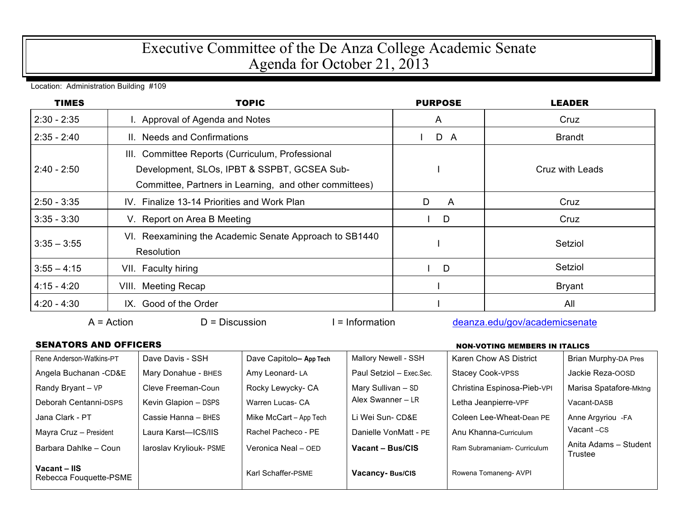## Executive Committee of the De Anza College Academic Senate Agenda for October 21, 2013

Location: Administration Building #109

| <b>TIMES</b>  | <b>TOPIC</b>                                                                                                                                              | <b>PURPOSE</b>      | <b>LEADER</b>   |
|---------------|-----------------------------------------------------------------------------------------------------------------------------------------------------------|---------------------|-----------------|
| $2:30 - 2:35$ | I. Approval of Agenda and Notes                                                                                                                           | A                   | Cruz            |
| $2:35 - 2:40$ | II. Needs and Confirmations                                                                                                                               | D A                 | <b>Brandt</b>   |
| $2:40 - 2:50$ | III. Committee Reports (Curriculum, Professional<br>Development, SLOs, IPBT & SSPBT, GCSEA Sub-<br>Committee, Partners in Learning, and other committees) |                     | Cruz with Leads |
| $2:50 - 3:35$ | IV. Finalize 13-14 Priorities and Work Plan                                                                                                               | D<br>$\overline{A}$ | Cruz            |
| $3:35 - 3:30$ | V. Report on Area B Meeting                                                                                                                               | D                   | Cruz            |
| $3:35 - 3:55$ | VI. Reexamining the Academic Senate Approach to SB1440<br>Resolution                                                                                      |                     | Setziol         |
| $3:55 - 4:15$ | VII. Faculty hiring                                                                                                                                       | D                   | Setziol         |
| $4:15 - 4:20$ | VIII. Meeting Recap                                                                                                                                       |                     | <b>Bryant</b>   |
| $4:20 - 4:30$ | IX. Good of the Order                                                                                                                                     |                     | All             |

A = Action D = Discussion I = Information deanza.edu/gov/academicsenate

## SENATORS AND OFFICERS **NON-VOTING MEMBERS IN ITALICS**

| Rene Anderson-Watkins-PT               | Dave Davis - SSH        | Dave Capitolo-App Tech | Mallory Newell - SSH     | Karen Chow AS District      | Brian Murphy-DA Pres             |
|----------------------------------------|-------------------------|------------------------|--------------------------|-----------------------------|----------------------------------|
| Angela Buchanan - CD&E                 | Mary Donahue - BHES     | Amy Leonard-LA         | Paul Setziol - Exec.Sec. | <b>Stacey Cook-VPSS</b>     | Jackie Reza-OOSD                 |
| Randy Bryant - VP                      | Cleve Freeman-Coun      | Rocky Lewycky- CA      | Mary Sullivan - SD       | Christina Espinosa-Pieb-VPI | Marisa Spatafore-Mktng           |
| Deborah Centanni-DSPS                  | Kevin Glapion - DSPS    | Warren Lucas- CA       | Alex Swanner - LR        | Letha Jeanpierre-VPF        | Vacant-DASB                      |
| Jana Clark - PT                        | Cassie Hanna - BHES     | Mike McCart - App Tech | Li Wei Sun- CD&E         | Coleen Lee-Wheat-Dean PE    | Anne Argyriou -FA                |
| Mayra Cruz - President                 | Laura Karst-ICS/IIS     | Rachel Pacheco - PE    | Danielle VonMatt - PE    | Anu Khanna-Curriculum       | Vacant-CS                        |
| Barbara Dahlke - Coun                  | laroslav Kryliouk- PSME | Veronica Neal - OED    | Vacant - Bus/CIS         | Ram Subramaniam- Curriculum | Anita Adams - Student<br>Trustee |
| Vacant - IIS<br>Rebecca Fouquette-PSME |                         | Karl Schaffer-PSME     | Vacancy-Bus/CIS          | Rowena Tomaneng- AVPI       |                                  |